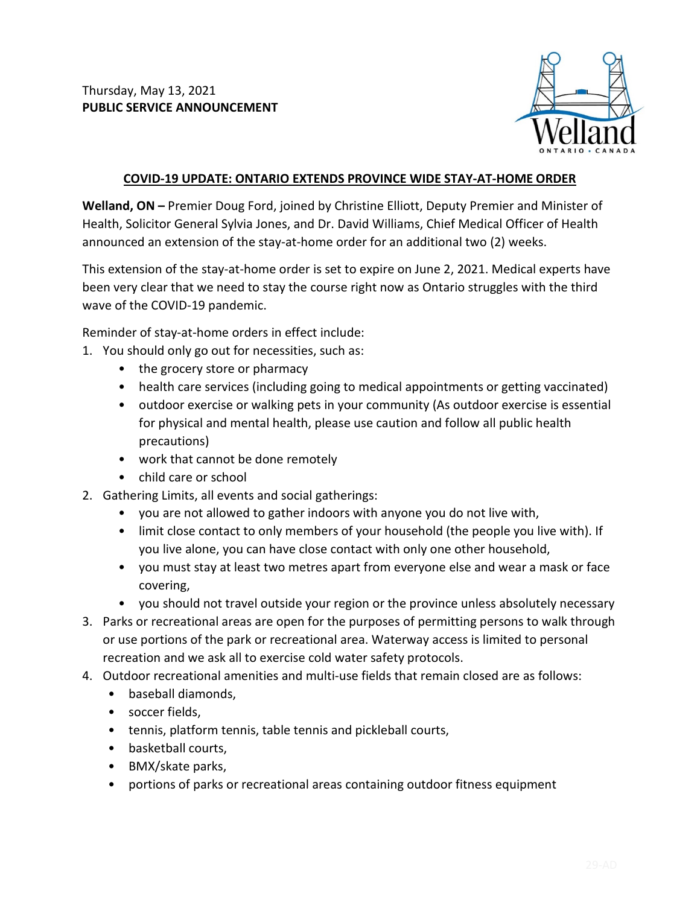

## **COVID-19 UPDATE: ONTARIO EXTENDS PROVINCE WIDE STAY-AT-HOME ORDER**

**Welland, ON –** Premier Doug Ford, joined by Christine Elliott, Deputy Premier and Minister of Health, Solicitor General Sylvia Jones, and Dr. David Williams, Chief Medical Officer of Health announced an extension of the stay-at-home order for an additional two (2) weeks.

This extension of the stay-at-home order is set to expire on June 2, 2021. Medical experts have been very clear that we need to stay the course right now as Ontario struggles with the third wave of the COVID-19 pandemic.

Reminder of stay-at-home orders in effect include:

- 1. You should only go out for necessities, such as:
	- the grocery store or pharmacy
	- health care services (including going to medical appointments or getting vaccinated)
	- outdoor exercise or walking pets in your community (As outdoor exercise is essential for physical and mental health, please use caution and follow all public health precautions)
	- work that cannot be done remotely
	- child care or school
- 2. Gathering Limits, all events and social gatherings:
	- you are not allowed to gather indoors with anyone you do not live with,
	- limit close contact to only members of your household (the people you live with). If you live alone, you can have close contact with only one other household,
	- you must stay at least two metres apart from everyone else and wear a mask or face covering,
	- you should not travel outside your region or the province unless absolutely necessary
- 3. Parks or recreational areas are open for the purposes of permitting persons to walk through or use portions of the park or recreational area. Waterway access is limited to personal recreation and we ask all to exercise cold water safety protocols.
- 4. Outdoor recreational amenities and multi-use fields that remain closed are as follows:
	- baseball diamonds,
	- soccer fields,
	- tennis, platform tennis, table tennis and pickleball courts,
	- basketball courts,
	- BMX/skate parks,
	- portions of parks or recreational areas containing outdoor fitness equipment